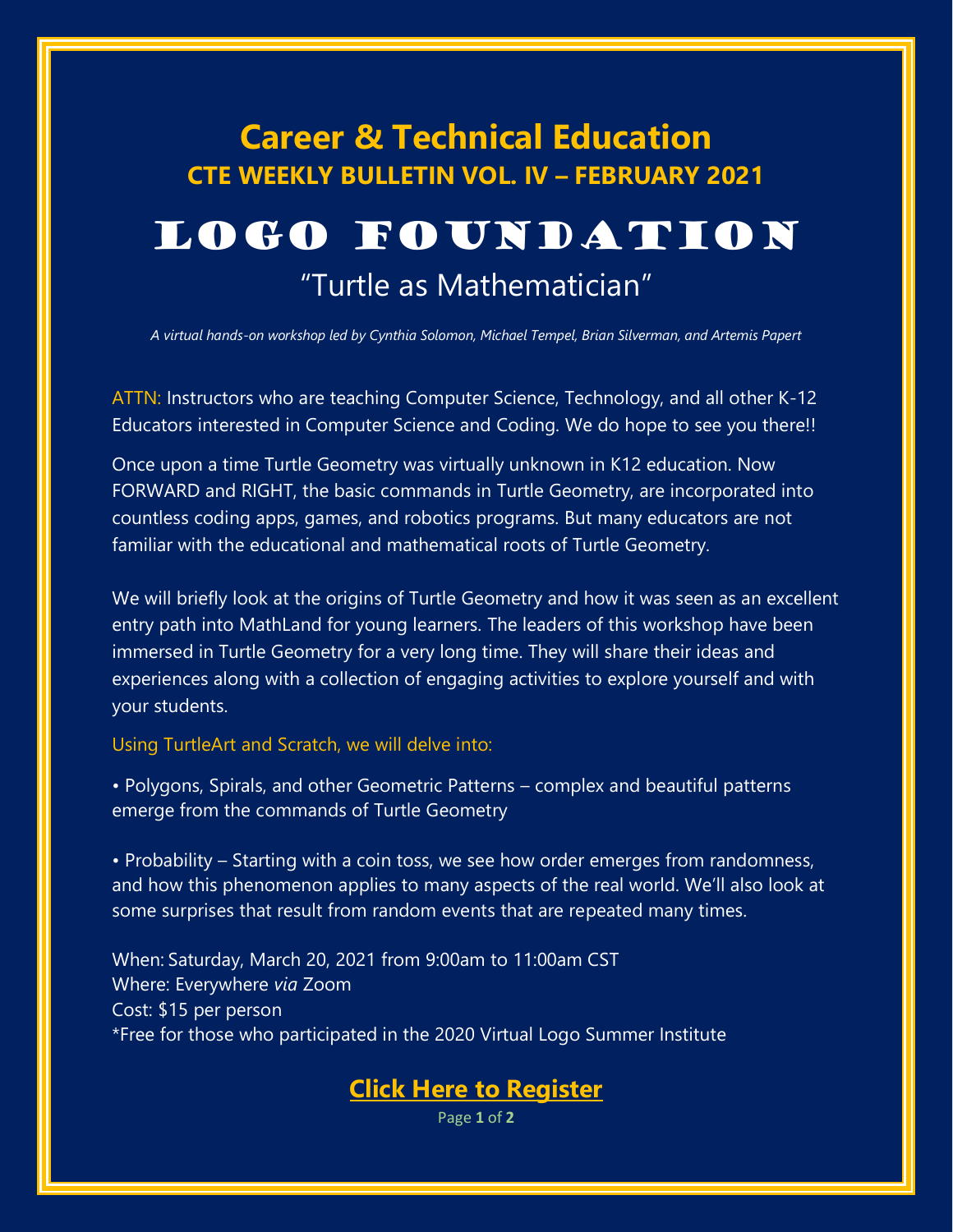## **Career & Technical Education CTE WEEKLY BULLETIN VOL. IV – FEBRUARY 2021**

## LOGO FOUNDATION

## "Turtle as Mathematician"

*A virtual hands-on workshop led by Cynthia Solomon, Michael Tempel, Brian Silverman, and Artemis Papert*

ATTN: Instructors who are teaching Computer Science, Technology, and all other K-12 Educators interested in Computer Science and Coding. We do hope to see you there!!

Once upon a time Turtle Geometry was virtually unknown in K12 education. Now FORWARD and RIGHT, the basic commands in Turtle Geometry, are incorporated into countless coding apps, games, and robotics programs. But many educators are not familiar with the educational and mathematical roots of Turtle Geometry.

We will briefly look at the origins of Turtle Geometry and how it was seen as an excellent entry path into MathLand for young learners. The leaders of this workshop have been immersed in Turtle Geometry for a very long time. They will share their ideas and experiences along with a collection of engaging activities to explore yourself and with your students.

#### Using TurtleArt and Scratch, we will delve into:

• Polygons, Spirals, and other Geometric Patterns – complex and beautiful patterns emerge from the commands of Turtle Geometry

• Probability – Starting with a coin toss, we see how order emerges from randomness, and how this phenomenon applies to many aspects of the real world. We'll also look at some surprises that result from random events that are repeated many times.

When: Saturday, March 20, 2021 from 9:00am to 11:00am CST Where: Everywhere *via* Zoom Cost: \$15 per person \*Free for those who participated in the 2020 Virtual Logo Summer Institute

### **[Click Here to Register](https://www.eventbrite.com/e/turtle-as-mathematician-tickets-141886683891)**

Page **1** of **2**